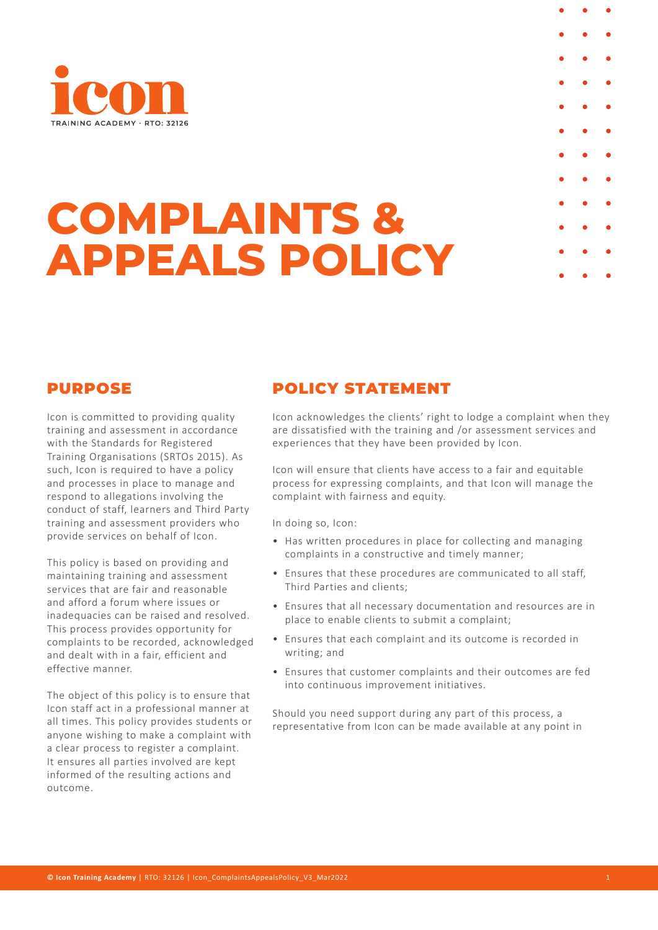

# **COMPLAINTS & APPEALS POLICY**

## PURPOSE

Icon is committed to providing quality training and assessment in accordance with the Standards for Registered Training Organisations (SRTOs 2015). As such, Icon is required to have a policy and processes in place to manage and respond to allegations involving the conduct of staff, learners and Third Party training and assessment providers who provide services on behalf of Icon.

This policy is based on providing and maintaining training and assessment services that are fair and reasonable and afford a forum where issues or inadequacies can be raised and resolved. This process provides opportunity for complaints to be recorded, acknowledged and dealt with in a fair, efficient and effective manner.

The object of this policy is to ensure that Icon staff act in a professional manner at all times. This policy provides students or anyone wishing to make a complaint with a clear process to register a complaint. It ensures all parties involved are kept informed of the resulting actions and outcome.

# POLICY STATEMENT

Icon acknowledges the clients' right to lodge a complaint when they are dissatisfied with the training and /or assessment services and experiences that they have been provided by Icon.

Icon will ensure that clients have access to a fair and equitable process for expressing complaints, and that Icon will manage the complaint with fairness and equity.

In doing so, Icon:

- Has written procedures in place for collecting and managing complaints in a constructive and timely manner;
- Ensures that these procedures are communicated to all staff, Third Parties and clients;
- Ensures that all necessary documentation and resources are in place to enable clients to submit a complaint;
- Ensures that each complaint and its outcome is recorded in writing; and
- Ensures that customer complaints and their outcomes are fed into continuous improvement initiatives.

Should you need support during any part of this process, a representative from Icon can be made available at any point in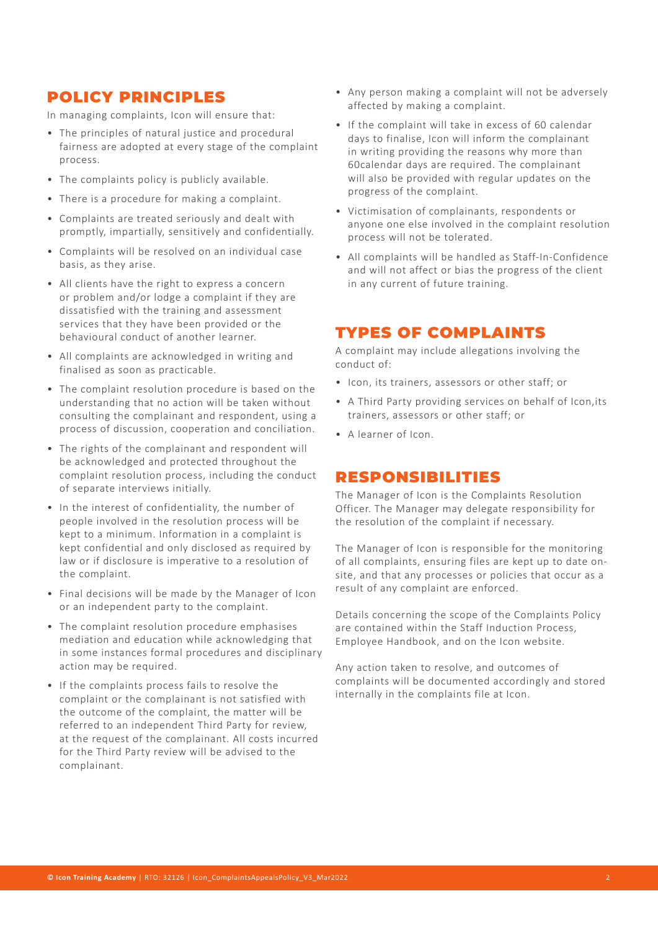## POLICY PRINCIPLES

In managing complaints, Icon will ensure that:

- The principles of natural justice and procedural fairness are adopted at every stage of the complaint process.
- The complaints policy is publicly available.
- There is a procedure for making a complaint.
- Complaints are treated seriously and dealt with promptly, impartially, sensitively and confidentially.
- Complaints will be resolved on an individual case basis, as they arise.
- All clients have the right to express a concern or problem and/or lodge a complaint if they are dissatisfied with the training and assessment services that they have been provided or the behavioural conduct of another learner.
- All complaints are acknowledged in writing and finalised as soon as practicable.
- The complaint resolution procedure is based on the understanding that no action will be taken without consulting the complainant and respondent, using a process of discussion, cooperation and conciliation.
- The rights of the complainant and respondent will be acknowledged and protected throughout the complaint resolution process, including the conduct of separate interviews initially.
- In the interest of confidentiality, the number of people involved in the resolution process will be kept to a minimum. Information in a complaint is kept confidential and only disclosed as required by law or if disclosure is imperative to a resolution of the complaint.
- Final decisions will be made by the Manager of Icon or an independent party to the complaint.
- The complaint resolution procedure emphasises mediation and education while acknowledging that in some instances formal procedures and disciplinary action may be required.
- If the complaints process fails to resolve the complaint or the complainant is not satisfied with the outcome of the complaint, the matter will be referred to an independent Third Party for review, at the request of the complainant. All costs incurred for the Third Party review will be advised to the complainant.
- Any person making a complaint will not be adversely affected by making a complaint.
- If the complaint will take in excess of 60 calendar days to finalise, Icon will inform the complainant in writing providing the reasons why more than 60calendar days are required. The complainant will also be provided with regular updates on the progress of the complaint.
- Victimisation of complainants, respondents or anyone one else involved in the complaint resolution process will not be tolerated.
- All complaints will be handled as Staff-In-Confidence and will not affect or bias the progress of the client in any current of future training.

#### TYPES OF COMPLAINTS

A complaint may include allegations involving the conduct of:

- Icon, its trainers, assessors or other staff; or
- A Third Party providing services on behalf of Icon,its trainers, assessors or other staff; or
- A learner of Icon.

#### RESPONSIBILITIES

The Manager of Icon is the Complaints Resolution Officer. The Manager may delegate responsibility for the resolution of the complaint if necessary.

The Manager of Icon is responsible for the monitoring of all complaints, ensuring files are kept up to date onsite, and that any processes or policies that occur as a result of any complaint are enforced.

Details concerning the scope of the Complaints Policy are contained within the Staff Induction Process, Employee Handbook, and on the Icon website.

Any action taken to resolve, and outcomes of complaints will be documented accordingly and stored internally in the complaints file at Icon.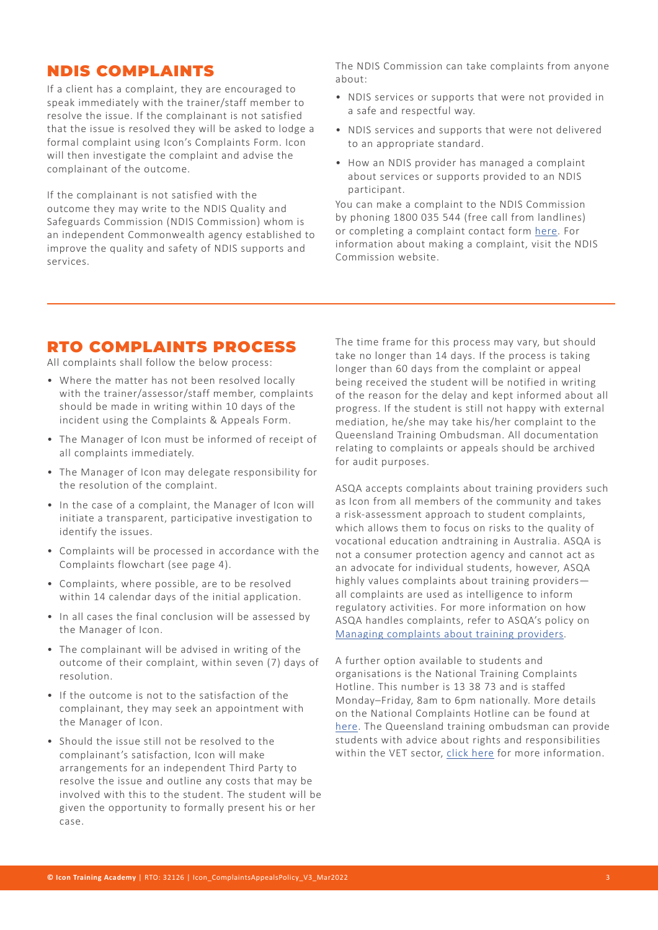## NDIS COMPLAINTS

If a client has a complaint, they are encouraged to speak immediately with the trainer/staff member to resolve the issue. If the complainant is not satisfied that the issue is resolved they will be asked to lodge a formal complaint using Icon's Complaints Form. Icon will then investigate the complaint and advise the complainant of the outcome.

If the complainant is not satisfied with the outcome they may write to the NDIS Quality and Safeguards Commission (NDIS Commission) whom is an independent Commonwealth agency established to improve the quality and safety of NDIS supports and services.

The NDIS Commission can take complaints from anyone about:

- NDIS services or supports that were not provided in a safe and respectful way.
- NDIS services and supports that were not delivered to an appropriate standard.
- How an NDIS provider has managed a complaint about services or supports provided to an NDIS participant.

You can make a complaint to the NDIS Commission by phoning 1800 035 544 (free call from landlines) or completing a complaint contact form [here.](https://forms.business.gov.au/smartforms/servlet/SmartForm.html?formCode=PRD00-OCF) For information about making a complaint, visit the NDIS Commission website.

# RTO COMPLAINTS PROCESS

All complaints shall follow the below process:

- Where the matter has not been resolved locally with the trainer/assessor/staff member, complaints should be made in writing within 10 days of the incident using the Complaints & Appeals Form.
- The Manager of Icon must be informed of receipt of all complaints immediately.
- The Manager of Icon may delegate responsibility for the resolution of the complaint.
- In the case of a complaint, the Manager of Icon will initiate a transparent, participative investigation to identify the issues.
- Complaints will be processed in accordance with the Complaints flowchart (see page 4).
- Complaints, where possible, are to be resolved within 14 calendar days of the initial application.
- In all cases the final conclusion will be assessed by the Manager of Icon.
- The complainant will be advised in writing of the outcome of their complaint, within seven (7) days of resolution.
- If the outcome is not to the satisfaction of the complainant, they may seek an appointment with the Manager of Icon.
- Should the issue still not be resolved to the complainant's satisfaction, Icon will make arrangements for an independent Third Party to resolve the issue and outline any costs that may be involved with this to the student. The student will be given the opportunity to formally present his or her case.

The time frame for this process may vary, but should take no longer than 14 days. If the process is taking longer than 60 days from the complaint or appeal being received the student will be notified in writing of the reason for the delay and kept informed about all progress. If the student is still not happy with external mediation, he/she may take his/her complaint to the Queensland Training Ombudsman. All documentation relating to complaints or appeals should be archived for audit purposes.

ASQA accepts complaints about training providers such as Icon from all members of the community and takes a risk-assessment approach to student complaints, which allows them to focus on risks to the quality of vocational education andtraining in Australia. ASQA is not a consumer protection agency and cannot act as an advocate for individual students, however, ASQA highly values complaints about training providers all complaints are used as intelligence to inform regulatory activities. For more information on how ASQA handles complaints, refer to ASQA's policy on [Managing complaints about training providers](https://www.asqa.gov.au/sites/default/files/2020-01/managing_complaints_about_providers.pdf).

A further option available to students and organisations is the National Training Complaints Hotline. This number is 13 38 73 and is staffed Monday–Friday, 8am to 6pm nationally. More details on the National Complaints Hotline can be found at [here](https://www.dese.gov.au/national-training-complaints-hotline). The Queensland training ombudsman can provide students with advice about rights and responsibilities within the VET sector, [click here](https://trainingombudsman.qld.gov.au/) for more information.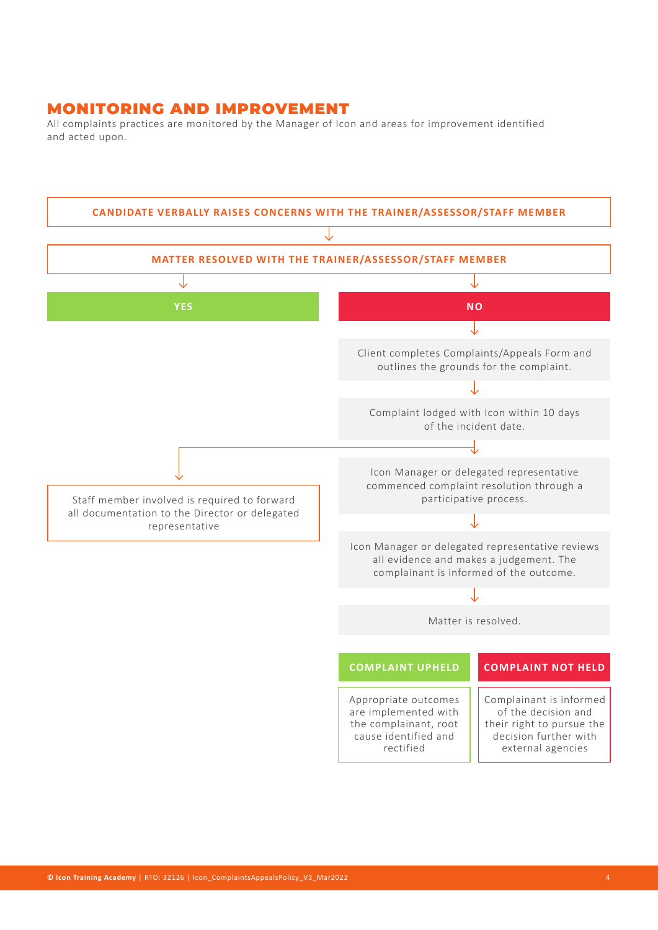## MONITORING AND IMPROVEMENT

All complaints practices are monitored by the Manager of Icon and areas for improvement identified and acted upon.